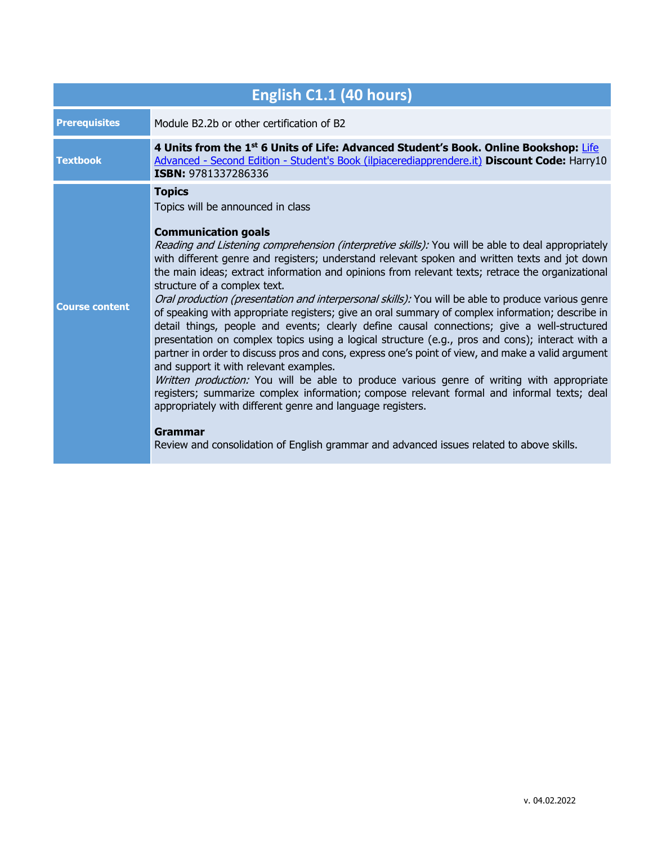| English C1.1 (40 hours) |                                                                                                                                                                                                                                                                                                                                                                                                                                                                                                                                                                                                                                                                                                                                                                                                                                                                                                                                                                                                                                                                                                                                                                                                                                                                                                                                                       |  |
|-------------------------|-------------------------------------------------------------------------------------------------------------------------------------------------------------------------------------------------------------------------------------------------------------------------------------------------------------------------------------------------------------------------------------------------------------------------------------------------------------------------------------------------------------------------------------------------------------------------------------------------------------------------------------------------------------------------------------------------------------------------------------------------------------------------------------------------------------------------------------------------------------------------------------------------------------------------------------------------------------------------------------------------------------------------------------------------------------------------------------------------------------------------------------------------------------------------------------------------------------------------------------------------------------------------------------------------------------------------------------------------------|--|
| <b>Prerequisites</b>    | Module B2.2b or other certification of B2                                                                                                                                                                                                                                                                                                                                                                                                                                                                                                                                                                                                                                                                                                                                                                                                                                                                                                                                                                                                                                                                                                                                                                                                                                                                                                             |  |
| <b>Textbook</b>         | 4 Units from the 1st 6 Units of Life: Advanced Student's Book. Online Bookshop: Life<br>Advanced - Second Edition - Student's Book (ilpiacerediapprendere.it) Discount Code: Harry10<br>ISBN: 9781337286336                                                                                                                                                                                                                                                                                                                                                                                                                                                                                                                                                                                                                                                                                                                                                                                                                                                                                                                                                                                                                                                                                                                                           |  |
| <b>Course content</b>   | <b>Topics</b><br>Topics will be announced in class<br><b>Communication goals</b><br>Reading and Listening comprehension (interpretive skills): You will be able to deal appropriately<br>with different genre and registers; understand relevant spoken and written texts and jot down<br>the main ideas; extract information and opinions from relevant texts; retrace the organizational<br>structure of a complex text.<br>Oral production (presentation and interpersonal skills): You will be able to produce various genre<br>of speaking with appropriate registers; give an oral summary of complex information; describe in<br>detail things, people and events; clearly define causal connections; give a well-structured<br>presentation on complex topics using a logical structure (e.g., pros and cons); interact with a<br>partner in order to discuss pros and cons, express one's point of view, and make a valid argument<br>and support it with relevant examples.<br>Written production: You will be able to produce various genre of writing with appropriate<br>registers; summarize complex information; compose relevant formal and informal texts; deal<br>appropriately with different genre and language registers.<br>Grammar<br>Review and consolidation of English grammar and advanced issues related to above skills. |  |